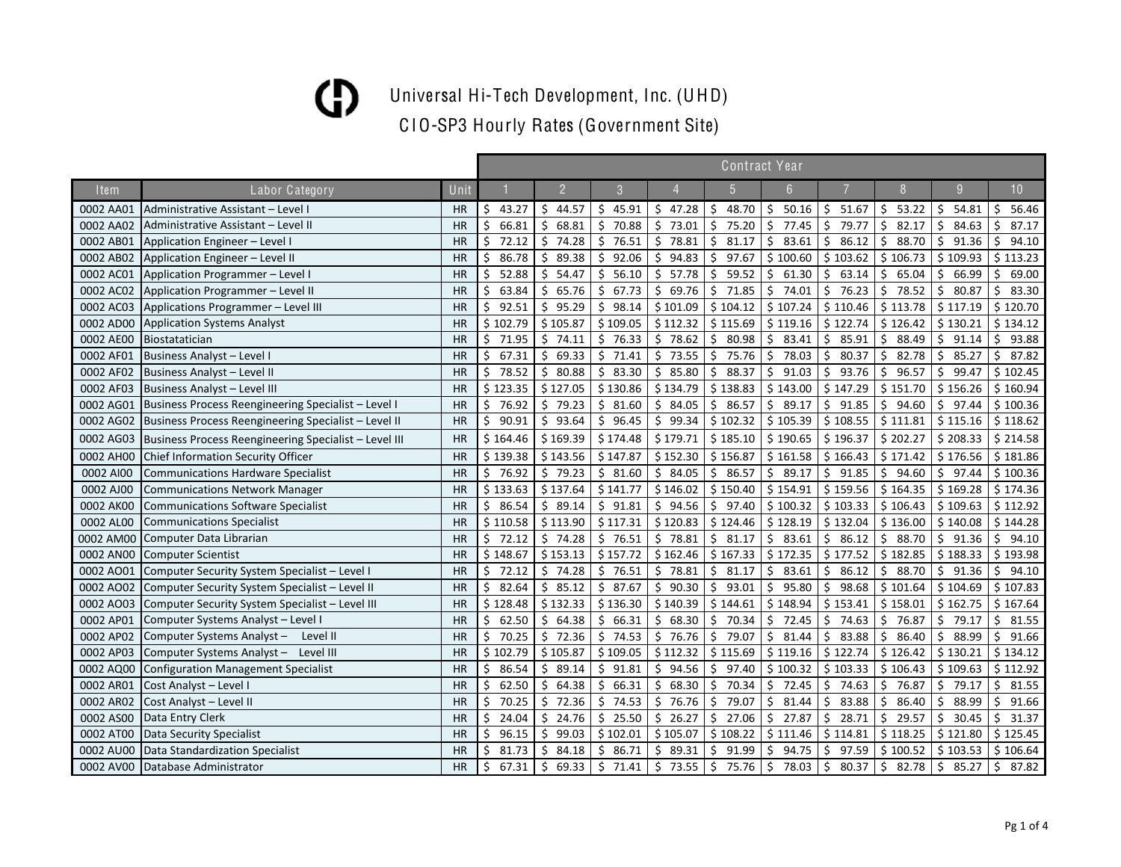Universal Hi-Tech Development, Inc. (UHD)

|             |                                                       |           | <b>Contract Year</b> |                |             |              |             |                         |                         |             |              |              |
|-------------|-------------------------------------------------------|-----------|----------------------|----------------|-------------|--------------|-------------|-------------------------|-------------------------|-------------|--------------|--------------|
| <b>Item</b> | Labor Category                                        | Unit      |                      | $\overline{2}$ | 3           |              | 5           | 6                       |                         | 8           | 9            | 10           |
| 0002 AA01   | Administrative Assistant - Level I                    | <b>HR</b> | 43.27<br>Ś.          | \$44.57        | 45.91<br>Ś. | 547.28       | \$<br>48.70 | Ŝ.<br>50.16             | 51.67<br>Ś.             | \$<br>53.22 | 54.81<br>Ś.  | 56.46<br>Ś.  |
| 0002 AA02   | Administrative Assistant - Level II                   | <b>HR</b> | \$<br>66.81          | \$<br>68.81    | \$<br>70.88 | \$<br>73.01  | \$<br>75.20 | Ś<br>77.45              | Ś.<br>79.77             | \$<br>82.17 | \$<br>84.63  | \$<br>87.17  |
| 0002 AB01   | Application Engineer - Level I                        | <b>HR</b> | \$<br>72.12          | \$74.28        | \$<br>76.51 | \$<br>78.81  | \$<br>81.17 | \$<br>83.61             | \$<br>86.12             | \$<br>88.70 | \$<br>91.36  | \$<br>94.10  |
| 0002 AB02   | Application Engineer - Level II                       | <b>HR</b> | \$<br>86.78          | \$<br>89.38    | Ś.<br>92.06 | \$<br>94.83  | \$<br>97.67 | \$100.60                | \$103.62                | \$106.73    | \$109.93     | \$113.23     |
| 0002 AC01   | Application Programmer - Level I                      | <b>HR</b> | Ś<br>52.88           | \$<br>54.47    | Ŝ.<br>56.10 | \$.<br>57.78 | \$<br>59.52 | \$<br>61.30             | Ŝ.<br>63.14             | \$<br>65.04 | Ŝ.<br>66.99  | Ŝ.<br>69.00  |
| 0002 AC02   | Application Programmer - Level II                     | <b>HR</b> | Ś<br>63.84           | \$<br>65.76    | Ŝ.<br>67.73 | \$<br>69.76  | \$<br>71.85 | $\ddot{\zeta}$<br>74.01 | 76.23<br>Ŝ.             | \$<br>78.52 | \$<br>80.87  | 83.30<br>Ŝ.  |
| 0002 AC03   | Applications Programmer - Level III                   | <b>HR</b> | Ś<br>92.51           | \$95.29        | Ŝ.<br>98.14 | \$101.09     | \$104.12    | \$107.24                | \$110.46                | \$113.78    | \$117.19     | \$120.70     |
| 0002 AD00   | <b>Application Systems Analyst</b>                    | <b>HR</b> | \$102.79             | \$105.87       | \$109.05    | \$112.32     | \$115.69    | \$119.16                | \$122.74                | \$126.42    | \$130.21     | \$134.12     |
| 0002 AE00   | Biostatatician                                        | <b>HR</b> | \$<br>71.95          | \$74.11        | \$76.33     | \$78.62      | \$<br>80.98 | \$<br>83.41             | \$<br>85.91             | \$<br>88.49 | \$91.14      | \$<br>93.88  |
| 0002 AF01   | Business Analyst - Level I                            | <b>HR</b> | \$<br>67.31          | \$<br>69.33    | \$71.41     | \$73.55      | \$<br>75.76 | \$<br>78.03             | \$<br>80.37             | \$<br>82.78 | \$<br>85.27  | \$<br>87.82  |
| 0002 AF02   | Business Analyst - Level II                           | <b>HR</b> | \$<br>78.52          | \$80.88        | \$<br>83.30 | \$<br>85.80  | \$<br>88.37 | \$<br>91.03             | \$<br>93.76             | \$<br>96.57 | \$<br>99.47  | \$102.45     |
| 0002 AF03   | Business Analyst - Level III                          | HR        | \$123.35             | \$127.05       | \$130.86    | \$134.79     | \$138.83    | \$143.00                | \$147.29                | \$151.70    | \$156.26     | \$160.94     |
| 0002 AG01   | Business Process Reengineering Specialist - Level I   | HR        | \$<br>76.92          | \$79.23        | \$31.60     | \$84.05      | \$<br>86.57 | \$<br>89.17             | \$91.85                 | \$<br>94.60 | \$97.44      | \$100.36     |
| 0002 AG02   | Business Process Reengineering Specialist - Level II  | <b>HR</b> | \$<br>90.91          | \$93.64        | \$<br>96.45 | \$<br>99.34  | \$102.32    | \$105.39                | \$108.55                | \$111.81    | \$115.16     | \$118.62     |
| 0002 AG03   | Business Process Reengineering Specialist – Level III | <b>HR</b> | \$164.46             | \$169.39       | \$174.48    | \$179.71     | \$185.10    | \$190.65                | \$196.37                | \$202.27    | \$208.33     | \$214.58     |
| 0002 AH00   | <b>Chief Information Security Officer</b>             | <b>HR</b> | \$139.38             | \$143.56       | \$147.87    | \$152.30     | \$156.87    | \$161.58                | \$166.43                | \$171.42    | \$176.56     | \$181.86     |
| 0002 AI00   | <b>Communications Hardware Specialist</b>             | <b>HR</b> | \$76.92              | \$79.23        | \$31.60     | \$84.05      | \$<br>86.57 | $\zeta$<br>89.17        | \$91.85                 | \$94.60     | \$97.44      | \$100.36     |
| 0002 AJ00   | <b>Communications Network Manager</b>                 | <b>HR</b> | \$133.63             | \$137.64       | \$141.77    | \$146.02     | \$150.40    | \$154.91                | \$159.56                | \$164.35    | \$169.28     | \$174.36     |
| 0002 AK00   | <b>Communications Software Specialist</b>             | <b>HR</b> | \$<br>86.54          | \$89.14        | \$91.81     | \$94.56      | \$<br>97.40 | \$100.32                | \$103.33                | \$106.43    | \$109.63     | \$112.92     |
| 0002 AL00   | <b>Communications Specialist</b>                      | <b>HR</b> | \$110.58             | \$113.90       | \$117.31    | \$120.83     | \$124.46    | \$128.19                | \$132.04                | \$136.00    | \$140.08     | \$144.28     |
| 0002 AM00   | Computer Data Librarian                               | <b>HR</b> | \$<br>72.12          | \$74.28        | \$76.51     | \$78.81      | \$<br>81.17 | \$<br>83.61             | 86.12<br>\$.            | \$<br>88.70 | \$91.36      | \$<br>94.10  |
| 0002 AN00   | <b>Computer Scientist</b>                             | HR        | \$148.67             | \$153.13       | \$157.72    | \$162.46     | \$167.33    | \$172.35                | \$177.52                | \$182.85    | \$188.33     | \$193.98     |
| 0002 AO01   | Computer Security System Specialist - Level I         | <b>HR</b> | \$<br>72.12          | \$74.28        | \$76.51     | \$78.81      | \$<br>81.17 | \$<br>83.61             | Ŝ.<br>86.12             | \$<br>88.70 | \$91.36      | \$.<br>94.10 |
| 0002 AO02   | Computer Security System Specialist - Level II        | <b>HR</b> | \$<br>82.64          | \$85.12        | \$<br>87.67 | \$90.30      | \$<br>93.01 | \$<br>95.80             | \$<br>98.68             | \$101.64    | \$104.69     | \$107.83     |
| 0002 AO03   | Computer Security System Specialist - Level III       | <b>HR</b> | \$128.48             | \$132.33       | \$136.30    | \$140.39     | \$144.61    | \$148.94                | \$153.41                | \$158.01    | \$162.75     | \$167.64     |
| 0002 AP01   | Computer Systems Analyst - Level I                    | HR        | \$<br>62.50          | \$64.38        | \$66.31     | \$<br>68.30  | \$<br>70.34 | \$<br>72.45             | \$<br>74.63             | \$<br>76.87 | \$.<br>79.17 | \$<br>81.55  |
| 0002 AP02   | Computer Systems Analyst - Level II                   | HR        | \$<br>70.25          | \$72.36        | \$<br>74.53 | \$76.76      | \$<br>79.07 | \$<br>81.44             | \$<br>83.88             | \$<br>86.40 | \$<br>88.99  | \$<br>91.66  |
| 0002 AP03   | Computer Systems Analyst - Level III                  | HR        | \$102.79             | \$105.87       | \$109.05    | \$112.32     | \$115.69    | \$119.16                | \$122.74                | \$126.42    | \$130.21     | \$134.12     |
| 0002 AQ00   | <b>Configuration Management Specialist</b>            | <b>HR</b> | 86.54<br>Ś           | \$<br>89.14    | \$91.81     | \$94.56      | \$<br>97.40 | \$100.32                | \$103.33                | \$106.43    | \$109.63     | \$112.92     |
| 0002 AR01   | Cost Analyst - Level I                                | <b>HR</b> | Ś<br>62.50           | \$64.38        | \$<br>66.31 | \$<br>68.30  | \$<br>70.34 | Ŝ.<br>72.45             | \$<br>74.63             | \$<br>76.87 | \$<br>79.17  | \$<br>81.55  |
| 0002 AR02   | Cost Analyst - Level II                               | <b>HR</b> | S<br>70.25           | \$<br>72.36    | \$<br>74.53 | \$<br>76.76  | \$<br>79.07 | Ŝ.<br>81.44             | Ŝ.<br>83.88             | \$<br>86.40 | \$<br>88.99  | Ŝ.<br>91.66  |
| 0002 AS00   | Data Entry Clerk                                      | <b>HR</b> | Ŝ.<br>24.04          | \$<br>24.76    | 25.50<br>\$ | 26.27<br>\$  | \$<br>27.06 | Ŝ.<br>27.87             | 28.71<br>Ŝ.             | \$<br>29.57 | \$<br>30.45  | 31.37<br>Ŝ.  |
| 0002 AT00   | Data Security Specialist                              | <b>HR</b> | Ś.<br>96.15          | \$<br>99.03    | \$102.01    | \$105.07     | \$108.22    | \$111.46                | \$114.81                | \$118.25    | \$121.80     | \$125.45     |
| 0002 AU00   | Data Standardization Specialist                       | <b>HR</b> | \$<br>81.73          | \$4.18         | \$<br>86.71 | \$89.31      | \$<br>91.99 | \$<br>94.75             | 97.59<br>\$             | \$100.52    | \$103.53     | \$106.64     |
| 0002 AV00   | Database Administrator                                | <b>HR</b> | \$<br>67.31          | \$69.33        | \$71.41     | \$<br>73.55  | \$<br>75.76 | $\zeta$<br>78.03        | $\ddot{\zeta}$<br>80.37 | \$82.78     | \$<br>85.27  | \$<br>87.82  |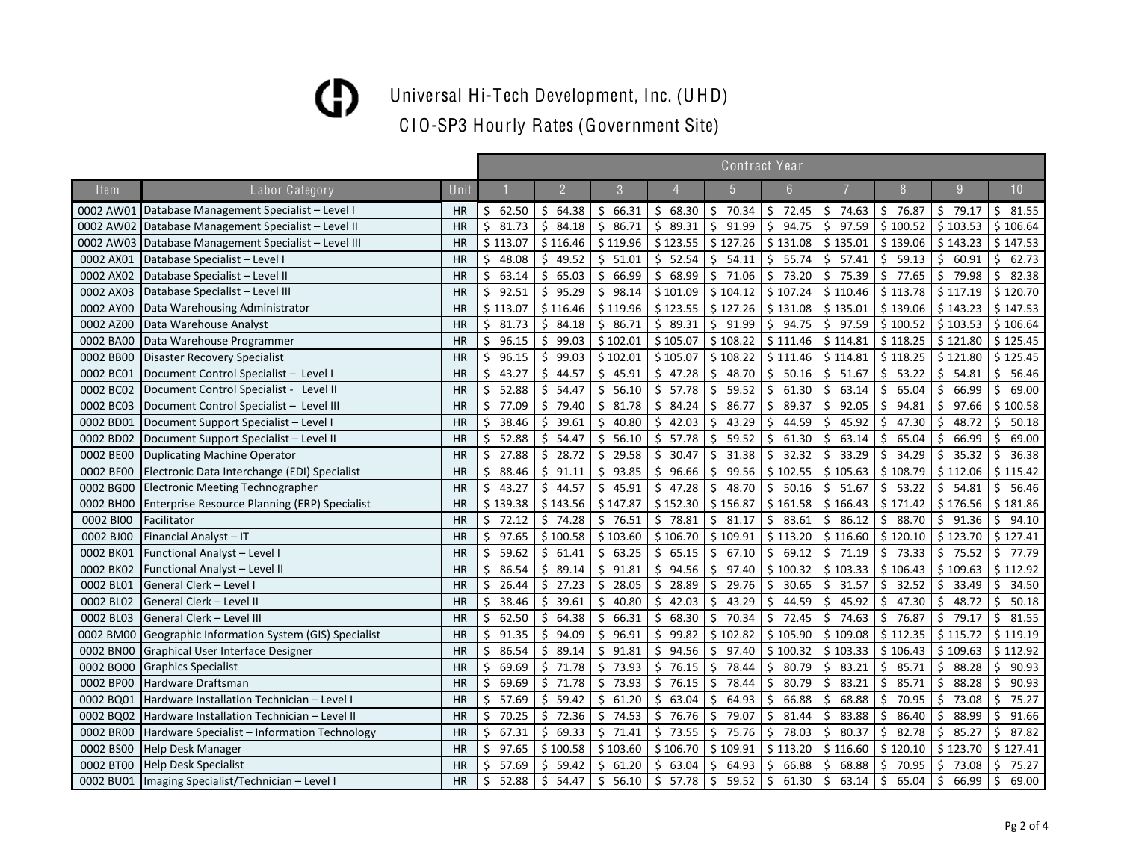Universal Hi-Tech Development, Inc. (UHD)

|           |                                                      |           |             |                |              |             |             | <b>Contract Year</b> |                       |             |             |             |
|-----------|------------------------------------------------------|-----------|-------------|----------------|--------------|-------------|-------------|----------------------|-----------------------|-------------|-------------|-------------|
| Item      | Labor Category                                       | Unit      |             | $\overline{2}$ | 3            |             | 5           | 6                    |                       | 8           | 9           | 10          |
| 0002 AW01 | Database Management Specialist - Level I             | <b>HR</b> | 62.50<br>\$ | \$64.38        | \$66.31      | \$68.30     | \$70.34     | \$<br>72.45          | \$74.63               | \$76.87     | \$79.17     | \$31.55     |
| 0002 AW02 | Database Management Specialist - Level II            | HR        | Ś<br>81.73  | \$84.18        | Ś.<br>86.71  | 89.31<br>\$ | \$<br>91.99 | Ś.<br>94.75          | 97.59<br>Ŝ.           | \$100.52    | \$103.53    | \$106.64    |
| 0002 AW03 | Database Management Specialist - Level III           | HR        | \$113.07    | \$116.46       | \$119.96     | \$123.55    | \$127.26    | \$131.08             | \$135.01              | \$139.06    | \$143.23    | \$147.53    |
| 0002 AX01 | Database Specialist - Level I                        | <b>HR</b> | \$<br>48.08 | \$<br>49.52    | \$51.01      | \$52.54     | \$<br>54.11 | \$<br>55.74          | \$<br>57.41           | \$<br>59.13 | \$<br>60.91 | \$<br>62.73 |
| 0002 AX02 | Database Specialist - Level II                       | <b>HR</b> | \$<br>63.14 | \$<br>65.03    | \$<br>66.99  | \$<br>68.99 | \$<br>71.06 | \$<br>73.20          | \$.<br>75.39          | \$<br>77.65 | \$<br>79.98 | \$<br>82.38 |
| 0002 AX03 | Database Specialist - Level III                      | <b>HR</b> | Ś<br>92.51  | Ŝ.<br>95.29    | Ś.<br>98.14  | \$101.09    | \$104.12    | \$107.24             | \$110.46              | \$113.78    | \$117.19    | \$120.70    |
| 0002 AY00 | Data Warehousing Administrator                       | HR        | \$113.07    | \$116.46       | \$119.96     | \$123.55    | \$127.26    | \$131.08             | \$135.01              | \$139.06    | \$143.23    | \$147.53    |
| 0002 AZ00 | Data Warehouse Analyst                               | HR        | 81.73<br>\$ | \$84.18        | \$86.71      | \$89.31     | \$91.99     | \$<br>94.75          | \$97.59               | \$100.52    | \$103.53    | \$106.64    |
| 0002 BA00 | Data Warehouse Programmer                            | <b>HR</b> | Ś<br>96.15  | \$99.03        | \$102.01     | \$105.07    | \$108.22    | \$111.46             | \$114.81              | \$118.25    | \$121.80    | \$125.45    |
| 0002 BB00 | Disaster Recovery Specialist                         | <b>HR</b> | 96.15<br>\$ | \$99.03        | \$102.01     | \$105.07    | \$108.22    | \$111.46             | \$114.81              | \$118.25    | \$121.80    | \$125.45    |
| 0002 BC01 | Document Control Specialist - Level I                | <b>HR</b> | \$<br>43.27 | \$44.57        | \$45.91      | \$47.28     | \$48.70     | \$<br>50.16          | $\mathsf{S}$<br>51.67 | \$53.22     | \$54.81     | \$56.46     |
| 0002 BC02 | Document Control Specialist - Level II               | <b>HR</b> | 52.88<br>\$ | \$54.47        | \$<br>56.10  | \$57.78     | \$<br>59.52 | \$<br>61.30          | 63.14<br>Ŝ.           | \$<br>65.04 | \$<br>66.99 | Ś.<br>69.00 |
| 0002 BC03 | Document Control Specialist - Level III              | HR        | Ś.<br>77.09 | \$79.40        | Ś.<br>81.78  | Ŝ.<br>84.24 | Ŝ.<br>86.77 | Ŝ.<br>89.37          | 92.05<br>Ŝ.           | Ŝ.<br>94.81 | Ś<br>97.66  | \$100.58    |
| 0002 BD01 | Document Support Specialist - Level I                | HR        | Ś.<br>38.46 | \$39.61        | Ś.<br>40.80  | 42.03<br>Ŝ. | \$<br>43.29 | 44.59<br>Ś.          | 45.92<br>Ś.           | Ŝ.<br>47.30 | Ś<br>48.72  | Ś.<br>50.18 |
| 0002 BD02 | Document Support Specialist - Level II               | HR        | Ś<br>52.88  | \$<br>54.47    | Ś.<br>56.10  | Ŝ.<br>57.78 | \$<br>59.52 | Ś.<br>61.30          | Ś.<br>63.14           | \$<br>65.04 | 66.99<br>Ś  | Ś.<br>69.00 |
| 0002 BE00 | Duplicating Machine Operator                         | HR        | Ś<br>27.88  | \$<br>28.72    | Ś.<br>29.58  | Ŝ.<br>30.47 | \$<br>31.38 | Ś.<br>32.32          | 33.29<br>Ŝ.           | \$<br>34.29 | Ś.<br>35.32 | Ŝ.<br>36.38 |
| 0002 BF00 | Electronic Data Interchange (EDI) Specialist         | <b>HR</b> | Ś<br>88.46  | \$<br>91.11    | 93.85<br>Ŝ.  | Ŝ.<br>96.66 | \$<br>99.56 | \$102.55             | \$105.63              | \$108.79    | \$112.06    | \$115.42    |
| 0002 BG00 | <b>Electronic Meeting Technographer</b>              | <b>HR</b> | \$<br>43.27 | \$44.57        | \$<br>45.91  | \$<br>47.28 | \$<br>48.70 | \$<br>50.16          | \$51.67               | \$53.22     | \$54.81     | Ś.<br>56.46 |
| 0002 BH00 | <b>Enterprise Resource Planning (ERP) Specialist</b> | <b>HR</b> | \$139.38    | \$143.56       | \$147.87     | \$152.30    | \$156.87    | \$161.58             | \$166.43              | \$171.42    | \$176.56    | \$181.86    |
| 0002 BIOO | Facilitator                                          | <b>HR</b> | \$<br>72.12 | \$74.28        | \$76.51      | \$78.81     | \$<br>81.17 | \$<br>83.61          | \$86.12               | \$<br>88.70 | \$91.36     | \$<br>94.10 |
| 0002 BJ00 | Financial Analyst - IT                               | <b>HR</b> | 97.65<br>Ś. | \$100.58       | \$103.60     | \$106.70    | \$109.91    | \$113.20             | \$116.60              | \$120.10    | \$123.70    | \$127.41    |
| 0002 BK01 | Functional Analyst - Level I                         | <b>HR</b> | 59.62<br>Ś  | \$61.41        | \$63.25      | \$65.15     | \$<br>67.10 | \$<br>69.12          | \$71.19               | 73.33<br>\$ | \$<br>75.52 | \$77.79     |
| 0002 BK02 | Functional Analyst - Level II                        | <b>HR</b> | Ś<br>86.54  | \$89.14        | Ś.<br>91.81  | \$<br>94.56 | \$<br>97.40 | \$100.32             | \$103.33              | \$106.43    | \$109.63    | \$112.92    |
| 0002 BL01 | General Clerk - Level I                              | HR        | 26.44<br>Ś  | \$27.23        | 28.05<br>\$  | 28.89<br>Ŝ. | \$<br>29.76 | Ś.<br>30.65          | 31.57<br>\$           | \$<br>32.52 | Ś.<br>33.49 | 34.50<br>\$ |
| 0002 BL02 | General Clerk - Level II                             | <b>HR</b> | Ś<br>38.46  | \$<br>39.61    | Ś.<br>40.80  | Ŝ.<br>42.03 | \$<br>43.29 | 44.59<br>Ś.          | 45.92<br>Ŝ.           | \$<br>47.30 | Ś.<br>48.72 | Ś.<br>50.18 |
| 0002 BL03 | General Clerk - Level III                            | <b>HR</b> | \$<br>62.50 | \$<br>64.38    | Ś.<br>66.31  | Ŝ.<br>68.30 | \$<br>70.34 | 72.45<br>Ś.          | 74.63<br>Ŝ.           | \$<br>76.87 | Ś.<br>79.17 | Ś.<br>81.55 |
| 0002 BM00 | Geographic Information System (GIS) Specialist       | HR        | Ś<br>91.35  | \$<br>94.09    | \$<br>96.91  | \$<br>99.82 | \$102.82    | \$105.90             | \$109.08              | \$112.35    | \$115.72    | \$119.19    |
| 0002 BN00 | Graphical User Interface Designer                    | <b>HR</b> | 86.54<br>\$ | \$<br>89.14    | \$<br>91.81  | 94.56<br>\$ | \$<br>97.40 | \$100.32             | \$103.33              | \$106.43    | \$109.63    | \$112.92    |
| 0002 BO00 | <b>Graphics Specialist</b>                           | <b>HR</b> | Ś<br>69.69  | Ś.<br>71.78    | Ś.<br>73.93  | Ŝ.<br>76.15 | \$<br>78.44 | 80.79<br>Ś           | 83.21<br>Ś.           | \$<br>85.71 | Ś.<br>88.28 | Ś.<br>90.93 |
| 0002 BP00 | Hardware Draftsman                                   | HR        | 69.69<br>Ś  | \$<br>71.78    | Ś.<br>73.93  | Ŝ.<br>76.15 | Ś.<br>78.44 | Ś<br>80.79           | 83.21<br>Ś            | Ŝ.<br>85.71 | \$<br>88.28 | Ś.<br>90.93 |
| 0002 BQ01 | Hardware Installation Technician - Level I           | HR        | 57.69<br>Ś  | \$<br>59.42    | 61.20<br>Ŝ.  | \$<br>63.04 | Ś.<br>64.93 | Ś.<br>66.88          | 68.88<br>Ś            | 70.95<br>Ŝ. | Ś.<br>73.08 | 75.27<br>Ŝ. |
| 0002 BQ02 | Hardware Installation Technician - Level II          | HR        | Ś<br>70.25  | \$<br>72.36    | \$<br>74.53  | 76.76<br>\$ | \$<br>79.07 | Ś.<br>81.44          | 83.88<br>Ś            | 86.40<br>Ŝ. | \$<br>88.99 | 91.66<br>Ŝ. |
| 0002 BR00 | Hardware Specialist – Information Technology         | <b>HR</b> | \$<br>67.31 | \$<br>69.33    | \$<br>71.41  | \$<br>73.55 | \$<br>75.76 | Ś.<br>78.03          | 80.37<br>Ŝ.           | \$<br>82.78 | \$<br>85.27 | Ŝ.<br>87.82 |
| 0002 BS00 | <b>Help Desk Manager</b>                             | HR        | \$<br>97.65 | \$100.58       | \$103.60     | \$106.70    | \$109.91    | \$113.20             | \$116.60              | \$120.10    | \$123.70    | \$127.41    |
| 0002 BT00 | <b>Help Desk Specialist</b>                          | <b>HR</b> | 57.69<br>Ś  | \$<br>59.42    | \$.<br>61.20 | \$<br>63.04 | \$<br>64.93 | 66.88<br>\$          | 68.88<br>\$           | 70.95<br>\$ | \$<br>73.08 | 75.27<br>Ŝ. |
| 0002 BU01 | Imaging Specialist/Technician – Level I              | <b>HR</b> | \$<br>52.88 | \$54.47        | \$<br>56.10  | \$57.78     | \$<br>59.52 | \$<br>61.30          | \$<br>63.14           | \$<br>65.04 | \$<br>66.99 | \$<br>69.00 |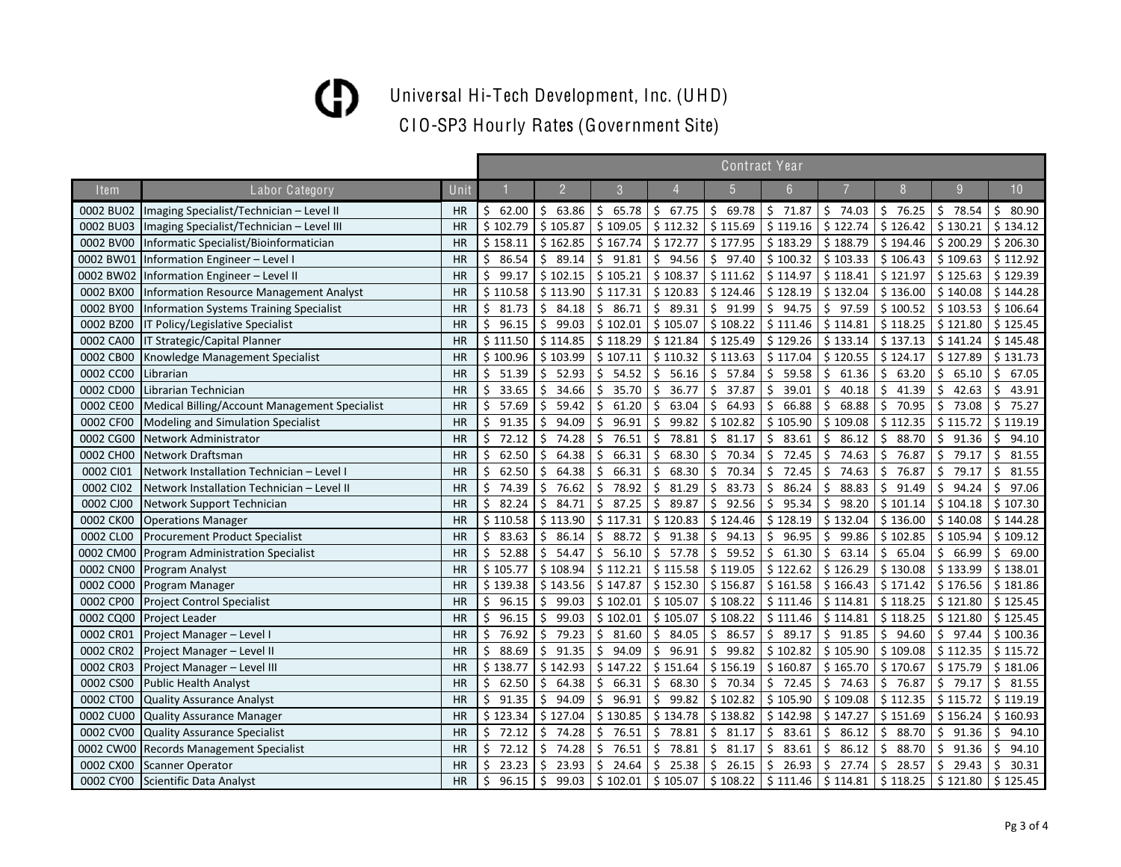Universal Hi-Tech Development, Inc. (UHD)

|             |                                                |           | <b>Contract Year</b> |                |               |                        |                        |             |             |             |             |             |  |  |
|-------------|------------------------------------------------|-----------|----------------------|----------------|---------------|------------------------|------------------------|-------------|-------------|-------------|-------------|-------------|--|--|
| <b>Item</b> | Labor Category                                 | Unit      |                      | $\overline{2}$ | $\mathcal{S}$ |                        | 5                      | 6           |             | 8           | 9           | 10          |  |  |
| 0002 BU02   | Imaging Specialist/Technician - Level II       | <b>HR</b> | 62.00<br>Ś.          | \$63.86        | Ś.<br>65.78   | \$67.75                | \$69.78                | \$71.87     | $5$ 74.03   | \$76.25     | $5$ 78.54   | \$80.90     |  |  |
| 0002 BU03   | Imaging Specialist/Technician - Level III      | <b>HR</b> | \$102.79             | \$105.87       | \$109.05      | \$112.32               | \$115.69               | \$119.16    | \$122.74    | \$126.42    | \$130.21    | \$134.12    |  |  |
| 0002 BV00   | Informatic Specialist/Bioinformatician         | <b>HR</b> | \$158.11             | \$162.85       | \$167.74      | \$172.77               | \$177.95               | \$183.29    | \$188.79    | \$194.46    | \$200.29    | \$206.30    |  |  |
| 0002 BW01   | Information Engineer - Level I                 | <b>HR</b> | 86.54<br>Ś           | Ś.<br>89.14    | Ś.<br>91.81   | 94.56<br>\$            | \$<br>97.40            | \$100.32    | \$103.33    | \$106.43    | \$109.63    | \$112.92    |  |  |
| 0002 BW02   | Information Engineer - Level II                | <b>HR</b> | 99.17<br>Ś           | \$102.15       | \$105.21      | \$108.37               | \$111.62               | \$114.97    | \$118.41    | \$121.97    | \$125.63    | \$129.39    |  |  |
| 0002 BX00   | <b>Information Resource Management Analyst</b> | <b>HR</b> | \$110.58             | \$113.90       | \$117.31      | \$120.83               | \$124.46               | \$128.19    | \$132.04    | \$136.00    | \$140.08    | \$144.28    |  |  |
| 0002 BY00   | <b>Information Systems Training Specialist</b> | <b>HR</b> | Ś<br>81.73           | \$<br>84.18    | Ŝ.<br>86.71   | \$89.31                | \$<br>91.99            | Ŝ.<br>94.75 | Ŝ.<br>97.59 | \$100.52    | \$103.53    | \$106.64    |  |  |
| 0002 BZ00   | IT Policy/Legislative Specialist               | <b>HR</b> | 96.15<br>\$          | \$<br>99.03    | \$102.01      | \$105.07               | \$108.22               | \$111.46    | \$114.81    | \$118.25    | \$121.80    | \$125.45    |  |  |
| 0002 CA00   | IT Strategic/Capital Planner                   | <b>HR</b> | \$111.50             | \$114.85       | \$118.29      | \$121.84               | \$125.49               | \$129.26    | \$133.14    | \$137.13    | \$141.24    | \$145.48    |  |  |
| 0002 CB00   | Knowledge Management Specialist                | <b>HR</b> | \$100.96             | \$103.99       | \$107.11      | \$110.32               | \$113.63               | \$117.04    | \$120.55    | \$124.17    | \$127.89    | \$131.73    |  |  |
| 0002 CC00   | Librarian                                      | <b>HR</b> | 51.39<br>\$          | \$<br>52.93    | \$<br>54.52   | $\frac{1}{2}$<br>56.16 | \$57.84                | \$<br>59.58 | 61.36<br>Ŝ. | \$<br>63.20 | \$<br>65.10 | \$67.05     |  |  |
| 0002 CD00   | Librarian Technician                           | <b>HR</b> | \$<br>33.65          | \$<br>34.66    | \$<br>35.70   | \$<br>36.77            | \$37.87                | \$<br>39.01 | Ś.<br>40.18 | \$<br>41.39 | Ś.<br>42.63 | Ŝ.<br>43.91 |  |  |
| 0002 CE00   | Medical Billing/Account Management Specialist  | <b>HR</b> | Ś<br>57.69           | Ś.<br>59.42    | 61.20<br>Ś.   | Ś<br>63.04             | \$<br>64.93            | 66.88<br>Ś  | 68.88<br>Ŝ. | Ŝ.<br>70.95 | Ś<br>73.08  | 75.27<br>Ŝ. |  |  |
| 0002 CF00   | Modeling and Simulation Specialist             | <b>HR</b> | Ś<br>91.35           | \$<br>94.09    | 96.91<br>Ś    | Ś.<br>99.82            | \$102.82               | \$105.90    | \$109.08    | \$112.35    | \$115.72    | \$119.19    |  |  |
| 0002 CG00   | Network Administrator                          | HR        | \$<br>72.12          | \$<br>74.28    | 76.51<br>Ŝ.   | \$<br>78.81            | \$<br>81.17            | Ś.<br>83.61 | Ś.<br>86.12 | \$<br>88.70 | \$<br>91.36 | Ś.<br>94.10 |  |  |
| 0002 CH00   | Network Draftsman                              | <b>HR</b> | 62.50                | 64.38<br>\$    | 66.31<br>Ś.   | 68.30<br>Ś.            | \$<br>70.34            | 72.45<br>\$ | 74.63<br>Ŝ. | 76.87<br>\$ | \$<br>79.17 | Ś.<br>81.55 |  |  |
| 0002 CI01   | Network Installation Technician - Level I      | <b>HR</b> | Ś<br>62.50           | Ŝ.<br>64.38    | 66.31<br>Ŝ.   | Ŝ<br>68.30             | \$<br>70.34            | 72.45<br>Ŝ. | 74.63<br>Ŝ. | 76.87<br>Ś. | 79.17<br>Ŝ. | Ŝ.<br>81.55 |  |  |
| 0002 CI02   | Network Installation Technician - Level II     | <b>HR</b> | \$<br>74.39          | Ś.<br>76.62    | 78.92<br>Ś.   | 81.29<br>Ŝ.            | \$<br>83.73            | \$<br>86.24 | Ŝ.<br>88.83 | \$<br>91.49 | Ś.<br>94.24 | Ŝ.<br>97.06 |  |  |
| 0002 CJ00   | Network Support Technician                     | <b>HR</b> | \$<br>82.24          | \$<br>84.71    | 87.25<br>Ŝ.   | 89.87<br>\$            | \$<br>92.56            | \$<br>95.34 | Ŝ.<br>98.20 | \$101.14    | \$104.18    | \$107.30    |  |  |
| 0002 CK00   | <b>Operations Manager</b>                      | <b>HR</b> | \$110.58             | \$113.90       | \$117.31      | \$120.83               | \$124.46               | \$128.19    | \$132.04    | \$136.00    | \$140.08    | \$144.28    |  |  |
| 0002 CL00   | <b>Procurement Product Specialist</b>          | <b>HR</b> | \$<br>83.63          | Ś.<br>86.14    | 88.72<br>Ś.   | \$<br>91.38            | $\zeta$<br>94.13       | Ś.<br>96.95 | 99.86<br>Ŝ. | \$102.85    | \$105.94    | \$109.12    |  |  |
| 0002 CM00   | <b>Program Administration Specialist</b>       | <b>HR</b> | 52.88<br>\$          | \$<br>54.47    | \$<br>56.10   | \$57.78                | $\frac{1}{2}$<br>59.52 | \$<br>61.30 | \$<br>63.14 | \$<br>65.04 | \$66.99     | \$69.00     |  |  |
| 0002 CN00   | Program Analyst                                | <b>HR</b> | \$105.77             | \$108.94       | \$112.21      | \$115.58               | \$119.05               | \$122.62    | \$126.29    | \$130.08    | \$133.99    | \$138.01    |  |  |
| 0002 CO00   | Program Manager                                | <b>HR</b> | \$139.38             | \$143.56       | \$147.87      | \$152.30               | \$156.87               | \$161.58    | \$166.43    | \$171.42    | \$176.56    | \$181.86    |  |  |
| 0002 CP00   | <b>Project Control Specialist</b>              | <b>HR</b> | \$<br>96.15          | \$<br>99.03    | \$102.01      | \$105.07               | \$108.22               | \$111.46    | \$114.81    | \$118.25    | \$121.80    | \$125.45    |  |  |
| 0002 CQ00   | <b>Project Leader</b>                          | <b>HR</b> | Ś<br>96.15           | Ś.<br>99.03    | \$102.01      | \$105.07               | \$108.22               | \$111.46    | \$114.81    | \$118.25    | \$121.80    | \$125.45    |  |  |
| 0002 CR01   | Project Manager - Level I                      | <b>HR</b> | 76.92<br>Ś           | Ś.<br>79.23    | 81.60<br>Ś    | Ś.<br>84.05            | \$<br>86.57            | \$<br>89.17 | Ś.<br>91.85 | \$<br>94.60 | Ś.<br>97.44 | \$100.36    |  |  |
| 0002 CR02   | Project Manager - Level II                     | <b>HR</b> | 88.69<br>Ś           | 91.35<br>\$    | 94.09<br>Ś    | 96.91<br>Ŝ.            | \$<br>99.82            | \$102.82    | \$105.90    | \$109.08    | \$112.35    | \$115.72    |  |  |
| 0002 CR03   | Project Manager - Level III                    | <b>HR</b> | \$138.77             | \$142.93       | \$147.22      | \$151.64               | \$156.19               | \$160.87    | \$165.70    | \$170.67    | \$175.79    | \$181.06    |  |  |
| 0002 CS00   | <b>Public Health Analyst</b>                   | <b>HR</b> | 62.50<br>\$          | 64.38<br>\$.   | 66.31<br>Ś.   | Ś.<br>68.30            | \$<br>70.34            | \$<br>72.45 | 74.63<br>Ŝ. | 76.87<br>\$ | \$<br>79.17 | 81.55<br>\$ |  |  |
| 0002 CT00   | <b>Quality Assurance Analyst</b>               | <b>HR</b> | 91.35<br>\$          | \$<br>94.09    | \$<br>96.91   | 99.82<br>\$            | \$102.82               | \$105.90    | \$109.08    | \$112.35    | \$115.72    | \$119.19    |  |  |
| 0002 CU00   | <b>Quality Assurance Manager</b>               | <b>HR</b> | \$123.34             | \$127.04       | \$130.85      | \$134.78               | \$138.82               | \$142.98    | \$147.27    | \$151.69    | \$156.24    | \$160.93    |  |  |
| 0002 CV00   | <b>Quality Assurance Specialist</b>            | <b>HR</b> | \$<br>72.12          | \$<br>74.28    | \$<br>76.51   | \$<br>78.81            | \$<br>81.17            | \$<br>83.61 | \$<br>86.12 | \$<br>88.70 | \$<br>91.36 | \$<br>94.10 |  |  |
| 0002 CW00   | <b>Records Management Specialist</b>           | <b>HR</b> | 72.12<br>Ś           | \$<br>74.28    | 76.51<br>\$   | 78.81<br>\$            | \$<br>81.17            | \$<br>83.61 | \$<br>86.12 | \$<br>88.70 | \$<br>91.36 | \$<br>94.10 |  |  |
| 0002 CX00   | <b>Scanner Operator</b>                        | <b>HR</b> | Ś<br>23.23           | \$<br>23.93    | \$<br>24.64   | \$<br>25.38            | \$<br>26.15            | \$<br>26.93 | \$<br>27.74 | \$<br>28.57 | \$<br>29.43 | \$<br>30.31 |  |  |
| 0002 CY00   | Scientific Data Analyst                        | <b>HR</b> | \$<br>96.15          | \$<br>99.03    | \$102.01      | \$105.07               | \$108.22               | \$111.46    | \$114.81    | \$118.25    | \$121.80    | \$125.45    |  |  |